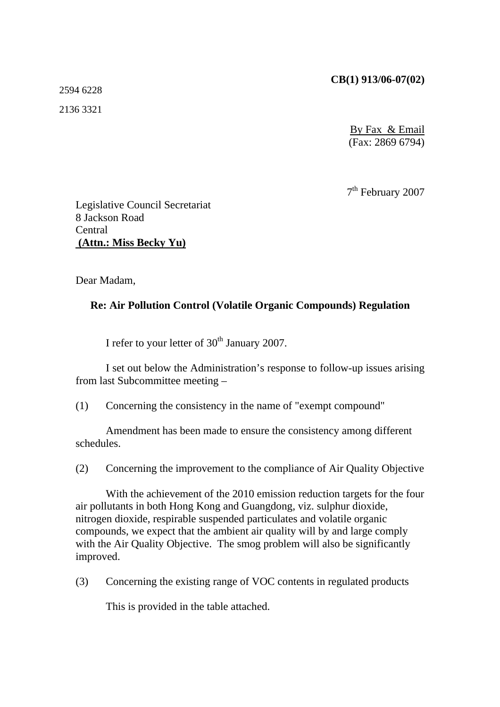#### **CB(1) 913/06-07(02)**

2594 6228

2136 3321

By Fax & Email (Fax: 2869 6794)

7th February 2007

Legislative Council Secretariat 8 Jackson Road Central  **(Attn.: Miss Becky Yu)**

Dear Madam,

### **Re: Air Pollution Control (Volatile Organic Compounds) Regulation**

I refer to your letter of  $30<sup>th</sup>$  January 2007.

 I set out below the Administration's response to follow-up issues arising from last Subcommittee meeting –

(1) Concerning the consistency in the name of "exempt compound"

 Amendment has been made to ensure the consistency among different schedules.

(2) Concerning the improvement to the compliance of Air Quality Objective

 With the achievement of the 2010 emission reduction targets for the four air pollutants in both Hong Kong and Guangdong, viz. sulphur dioxide, nitrogen dioxide, respirable suspended particulates and volatile organic compounds, we expect that the ambient air quality will by and large comply with the Air Quality Objective. The smog problem will also be significantly improved.

(3) Concerning the existing range of VOC contents in regulated products

This is provided in the table attached.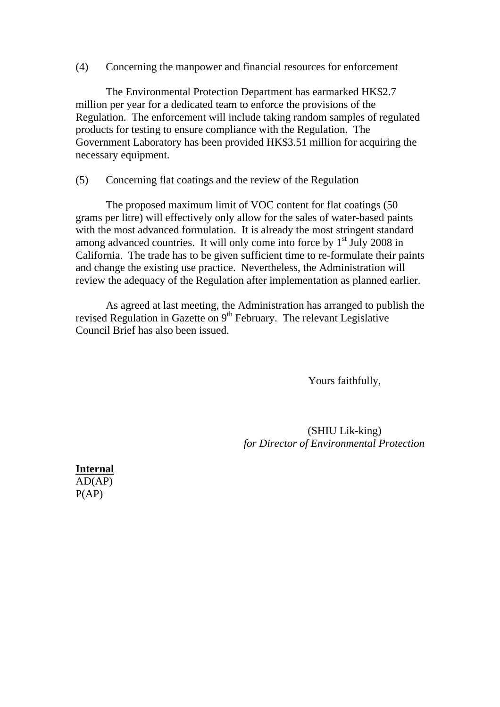(4) Concerning the manpower and financial resources for enforcement

 The Environmental Protection Department has earmarked HK\$2.7 million per year for a dedicated team to enforce the provisions of the Regulation. The enforcement will include taking random samples of regulated products for testing to ensure compliance with the Regulation. The Government Laboratory has been provided HK\$3.51 million for acquiring the necessary equipment.

### (5) Concerning flat coatings and the review of the Regulation

 The proposed maximum limit of VOC content for flat coatings (50 grams per litre) will effectively only allow for the sales of water-based paints with the most advanced formulation. It is already the most stringent standard among advanced countries. It will only come into force by  $1<sup>st</sup>$  July 2008 in California. The trade has to be given sufficient time to re-formulate their paints and change the existing use practice. Nevertheless, the Administration will review the adequacy of the Regulation after implementation as planned earlier.

 As agreed at last meeting, the Administration has arranged to publish the revised Regulation in Gazette on 9<sup>th</sup> February. The relevant Legislative Council Brief has also been issued.

Yours faithfully,

 (SHIU Lik-king) *for Director of Environmental Protection* 

**Internal**  $AD(AP)$  $P(AP)$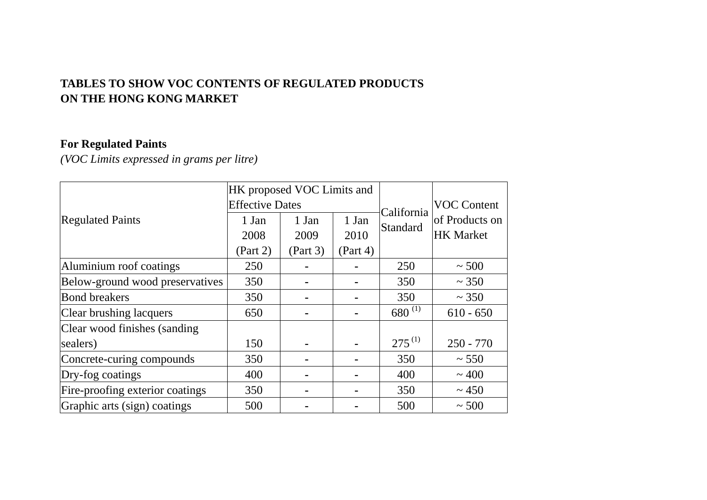## **TABLES TO SHOW VOC CONTENTS OF REGULATED PRODUCTS ON THE HONG KONG MARKET**

# **For Regulated Paints**

*(VOC Limits expressed in grams per litre)* 

|                                 | HK proposed VOC Limits and |          |          |             |                    |
|---------------------------------|----------------------------|----------|----------|-------------|--------------------|
|                                 | <b>Effective Dates</b>     |          |          | California  | <b>VOC Content</b> |
| <b>Regulated Paints</b>         | 1 Jan                      | 1 Jan    | 1 Jan    | Standard    | of Products on     |
|                                 | 2008                       | 2009     | 2010     |             | <b>HK Market</b>   |
|                                 | (Part 2)                   | (Part 3) | (Part 4) |             |                    |
| Aluminium roof coatings         | 250                        |          |          | 250         | $~1$ - 500         |
| Below-ground wood preservatives | 350                        |          |          | 350         | ~1.350             |
| <b>Bond breakers</b>            | 350                        |          |          | 350         | ~1.350             |
| Clear brushing lacquers         | 650                        |          |          | $680^{(1)}$ | $610 - 650$        |
| Clear wood finishes (sanding    |                            |          |          |             |                    |
| sealers)                        | 150                        |          |          | $275^{(1)}$ | $250 - 770$        |
| Concrete-curing compounds       | 350                        |          |          | 350         | ~1.550             |
| Dry-fog coatings                | 400                        |          |          | 400         | ~100               |
| Fire-proofing exterior coatings | 350                        |          |          | 350         | ~1.450             |
| Graphic arts (sign) coatings    | 500                        |          |          | 500         | $\sim 500$         |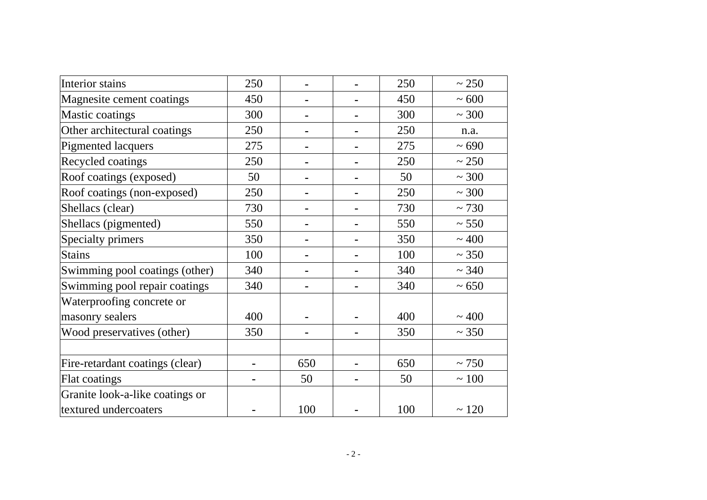| Interior stains                 | 250 |                | 250 | ~250       |
|---------------------------------|-----|----------------|-----|------------|
| Magnesite cement coatings       | 450 | ۰              | 450 | ~100       |
| <b>Mastic coatings</b>          | 300 |                | 300 | ~100       |
| Other architectural coatings    | 250 | $\blacksquare$ | 250 | n.a.       |
| <b>Pigmented lacquers</b>       | 275 | $\blacksquare$ | 275 | ~100       |
| Recycled coatings               | 250 |                | 250 | ~250       |
| Roof coatings (exposed)         | 50  | ۰              | 50  | ~100       |
| Roof coatings (non-exposed)     | 250 |                | 250 | ~100       |
| Shellacs (clear)                | 730 |                | 730 | ~1730      |
| Shellacs (pigmented)            | 550 | $\blacksquare$ | 550 | ~550       |
| Specialty primers               | 350 | ۰              | 350 | ~100       |
| <b>Stains</b>                   | 100 |                | 100 | ~1.350     |
| Swimming pool coatings (other)  | 340 |                | 340 | ~1.340     |
| Swimming pool repair coatings   | 340 | ۰              | 340 | $~1$ 650   |
| Waterproofing concrete or       |     |                |     |            |
| masonry sealers                 | 400 |                | 400 | ~100       |
| Wood preservatives (other)      | 350 | $\blacksquare$ | 350 | ~1.350     |
|                                 |     |                |     |            |
| Fire-retardant coatings (clear) | Ē.  | 650            | 650 | ~1750      |
| Flat coatings                   |     | 50             | 50  | $\sim 100$ |
| Granite look-a-like coatings or |     |                |     |            |
| textured undercoaters           |     | 100            | 100 | ~120       |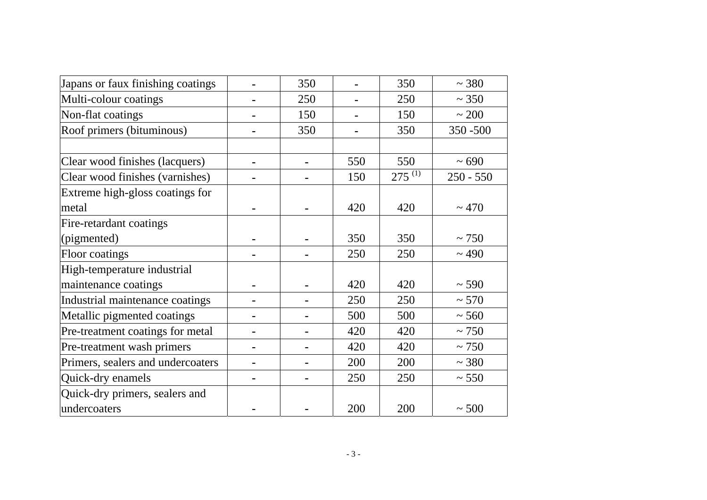| Japans or faux finishing coatings |                | 350 |     | 350         | ~1.380      |
|-----------------------------------|----------------|-----|-----|-------------|-------------|
| Multi-colour coatings             | ۰              | 250 |     | 250         | ~1.350      |
| Non-flat coatings                 |                | 150 |     | 150         | ~100        |
| Roof primers (bituminous)         | ۰              | 350 |     | 350         | 350 - 500   |
|                                   |                |     |     |             |             |
| Clear wood finishes (lacquers)    | ۰              |     | 550 | 550         | ~100        |
| Clear wood finishes (varnishes)   | $\blacksquare$ |     | 150 | $275^{(1)}$ | $250 - 550$ |
| Extreme high-gloss coatings for   |                |     |     |             |             |
| metal                             |                |     | 420 | 420         | ~170        |
| Fire-retardant coatings           |                |     |     |             |             |
| (pigmented)                       |                |     | 350 | 350         | ~1750       |
| Floor coatings                    |                |     | 250 | 250         | ~1490       |
| High-temperature industrial       |                |     |     |             |             |
| maintenance coatings              |                |     | 420 | 420         | ~590        |
| Industrial maintenance coatings   | ۰              |     | 250 | 250         | ~1.570      |
| Metallic pigmented coatings       |                |     | 500 | 500         | ~560        |
| Pre-treatment coatings for metal  | $\blacksquare$ |     | 420 | 420         | ~1750       |
| Pre-treatment wash primers        | ۰              |     | 420 | 420         | ~1750       |
| Primers, sealers and undercoaters | ۰              |     | 200 | 200         | ~1.380      |
| Quick-dry enamels                 |                |     | 250 | 250         | ~550        |
| Quick-dry primers, sealers and    |                |     |     |             |             |
| undercoaters                      |                |     | 200 | 200         | $~1$ - 500  |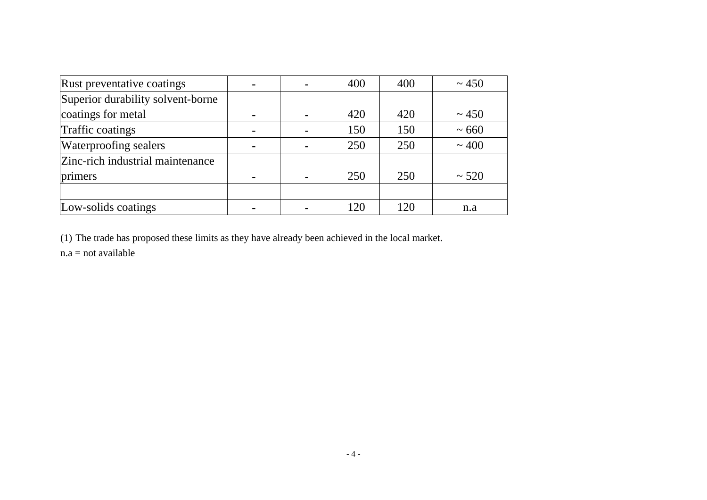| Rust preventative coatings        | $\blacksquare$ |                | 400 | 400 | ~1.450     |
|-----------------------------------|----------------|----------------|-----|-----|------------|
| Superior durability solvent-borne |                |                |     |     |            |
| coatings for metal                | ۰              | $\blacksquare$ | 420 | 420 | ~1.450     |
| Traffic coatings                  | $\blacksquare$ |                | 150 | 150 | $~1$ 660   |
| Waterproofing sealers             | $\blacksquare$ |                | 250 | 250 | ~100       |
| Zinc-rich industrial maintenance  |                |                |     |     |            |
| primers                           | $\blacksquare$ |                | 250 | 250 | $~1$ - 520 |
|                                   |                |                |     |     |            |
| Low-solids coatings               |                |                | 120 | 120 | n.a        |

(1) The trade has proposed these limits as they have already been achieved in the local market.

 $n.a = not available$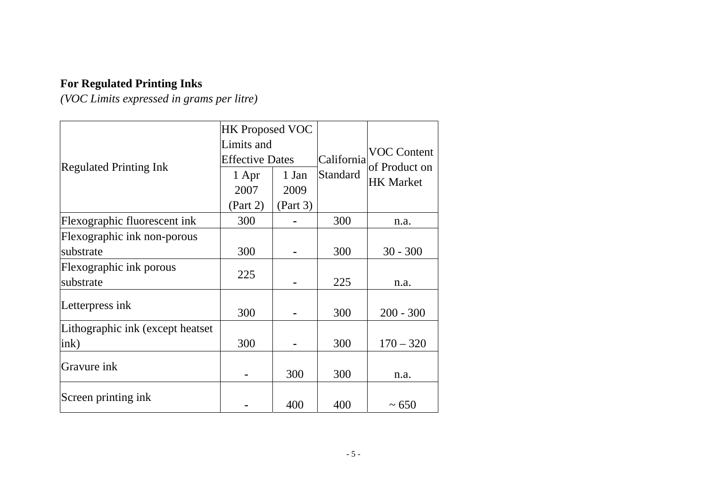# **For Regulated Printing Inks**

*(VOC Limits expressed in grams per litre)* 

|                                   | <b>HK Proposed VOC</b> |          |            |                    |
|-----------------------------------|------------------------|----------|------------|--------------------|
|                                   | Limits and             |          | California | <b>VOC Content</b> |
| <b>Regulated Printing Ink</b>     | <b>Effective Dates</b> |          |            | of Product on      |
|                                   | 1 Apr                  | 1 Jan    | Standard   | <b>HK Market</b>   |
|                                   | 2007                   | 2009     |            |                    |
|                                   | (Part 2)               | (Part 3) |            |                    |
| Flexographic fluorescent ink      | 300                    |          | 300        | n.a.               |
| Flexographic ink non-porous       |                        |          |            |                    |
| substrate                         | 300                    |          | 300        | $30 - 300$         |
| Flexographic ink porous           | 225                    |          |            |                    |
| substrate                         |                        |          | 225        | n.a.               |
| Letterpress ink                   | 300                    |          | 300        | $200 - 300$        |
| Lithographic ink (except heatset) |                        |          |            |                    |
| ink)                              | 300                    |          | 300        | $170 - 320$        |
| Gravure ink                       |                        | 300      | 300        | n.a.               |
| Screen printing ink               |                        | 400      | 400        | $~1$ – 650         |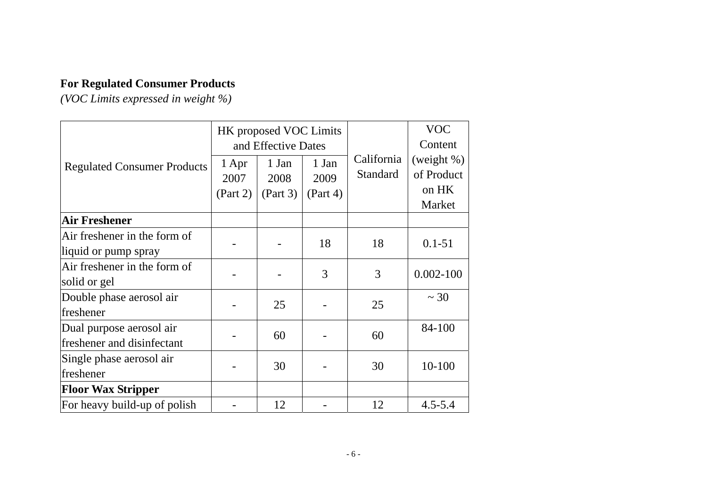# **For Regulated Consumer Products**

*(VOC Limits expressed in weight %)* 

|                                                        |                           | HK proposed VOC Limits<br>and Effective Dates |                           |                               | <b>VOC</b><br>Content                          |
|--------------------------------------------------------|---------------------------|-----------------------------------------------|---------------------------|-------------------------------|------------------------------------------------|
| <b>Regulated Consumer Products</b>                     | 1 Apr<br>2007<br>(Part 2) | 1 Jan<br>2008<br>(Part 3)                     | 1 Jan<br>2009<br>(Part 4) | California<br><b>Standard</b> | (weight $%$ )<br>of Product<br>on HK<br>Market |
| <b>Air Freshener</b>                                   |                           |                                               |                           |                               |                                                |
| Air freshener in the form of<br>liquid or pump spray   |                           |                                               | 18                        | 18                            | $0.1 - 51$                                     |
| Air freshener in the form of<br>solid or gel           |                           |                                               | 3                         | 3                             | $0.002 - 100$                                  |
| Double phase aerosol air<br>freshener                  |                           | 25                                            |                           | 25                            | $\sim$ 30                                      |
| Dual purpose aerosol air<br>freshener and disinfectant |                           | 60                                            |                           | 60                            | 84-100                                         |
| Single phase aerosol air<br>freshener                  |                           | 30                                            |                           | 30                            | $10 - 100$                                     |
| <b>Floor Wax Stripper</b>                              |                           |                                               |                           |                               |                                                |
| For heavy build-up of polish                           |                           | 12                                            |                           | 12                            | $4.5 - 5.4$                                    |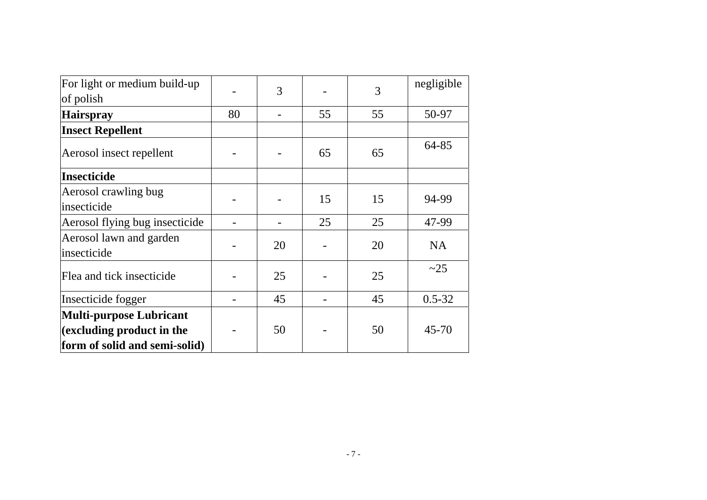| For light or medium build-up           |    | 3  |    | 3  | negligible |
|----------------------------------------|----|----|----|----|------------|
| of polish                              |    |    |    |    |            |
| <b>Hairspray</b>                       | 80 |    | 55 | 55 | 50-97      |
| <b>Insect Repellent</b>                |    |    |    |    |            |
| Aerosol insect repellent               |    |    | 65 | 65 | 64-85      |
| <b>Insecticide</b>                     |    |    |    |    |            |
| Aerosol crawling bug                   |    |    | 15 | 15 | 94-99      |
| insecticide                            |    |    |    |    |            |
| Aerosol flying bug insecticide         |    |    | 25 | 25 | 47-99      |
| Aerosol lawn and garden<br>insecticide |    | 20 |    | 20 | <b>NA</b>  |
| Flea and tick insecticide              |    | 25 |    | 25 | $\sim$ 25  |
| Insecticide fogger                     |    | 45 |    | 45 | $0.5 - 32$ |
| <b>Multi-purpose Lubricant</b>         |    |    |    |    |            |
| (excluding product in the              |    | 50 |    | 50 | 45-70      |
| form of solid and semi-solid)          |    |    |    |    |            |